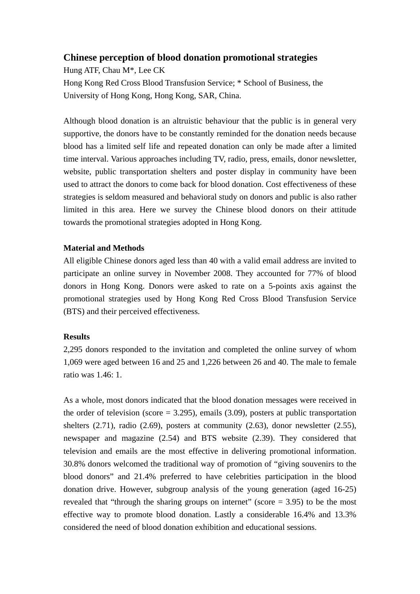## **Chinese perception of blood donation promotional strategies**

Hung ATF, Chau M\*, Lee CK Hong Kong Red Cross Blood Transfusion Service; \* School of Business, the University of Hong Kong, Hong Kong, SAR, China.

Although blood donation is an altruistic behaviour that the public is in general very supportive, the donors have to be constantly reminded for the donation needs because blood has a limited self life and repeated donation can only be made after a limited time interval. Various approaches including TV, radio, press, emails, donor newsletter, website, public transportation shelters and poster display in community have been used to attract the donors to come back for blood donation. Cost effectiveness of these strategies is seldom measured and behavioral study on donors and public is also rather limited in this area. Here we survey the Chinese blood donors on their attitude towards the promotional strategies adopted in Hong Kong.

## **Material and Methods**

All eligible Chinese donors aged less than 40 with a valid email address are invited to participate an online survey in November 2008. They accounted for 77% of blood donors in Hong Kong. Donors were asked to rate on a 5-points axis against the promotional strategies used by Hong Kong Red Cross Blood Transfusion Service (BTS) and their perceived effectiveness.

## **Results**

2,295 donors responded to the invitation and completed the online survey of whom 1,069 were aged between 16 and 25 and 1,226 between 26 and 40. The male to female ratio was 1.46: 1.

As a whole, most donors indicated that the blood donation messages were received in the order of television (score  $= 3.295$ ), emails (3.09), posters at public transportation shelters (2.71), radio (2.69), posters at community (2.63), donor newsletter (2.55), newspaper and magazine (2.54) and BTS website (2.39). They considered that television and emails are the most effective in delivering promotional information. 30.8% donors welcomed the traditional way of promotion of "giving souvenirs to the blood donors" and 21.4% preferred to have celebrities participation in the blood donation drive. However, subgroup analysis of the young generation (aged 16-25) revealed that "through the sharing groups on internet" (score  $=$  3.95) to be the most effective way to promote blood donation. Lastly a considerable 16.4% and 13.3% considered the need of blood donation exhibition and educational sessions.